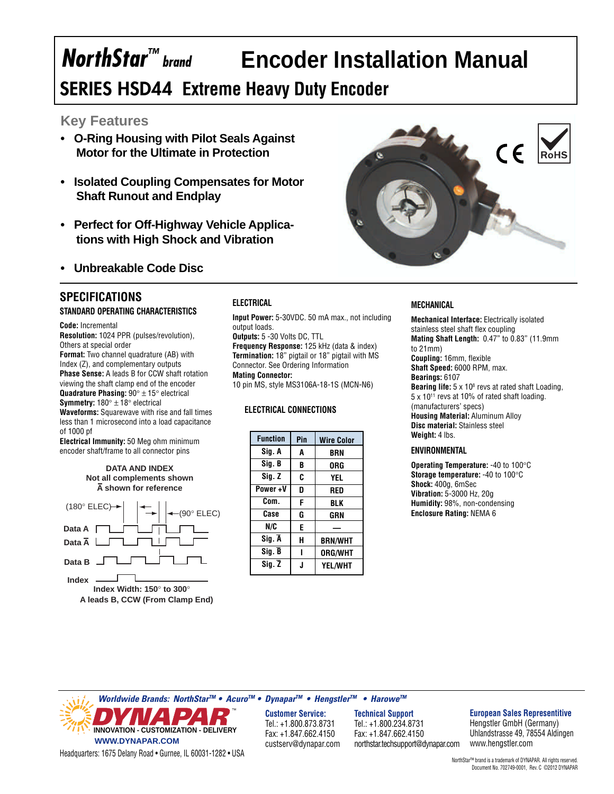# **Encoder Installation Manual**

# **SERIES HSD44 Extreme Heavy Duty Encoder**

#### **Key Features**

**NorthStar™** brand

- **O-Ring Housing with Pilot Seals Against Motor for the Ultimate in Protection**
- **Isolated Coupling Compensates for Motor Shaft Runout and Endplay**
- **Perfect for Off-Highway Vehicle Applications with High Shock and Vibration**
- **Unbreakable Code Disc**

### **SPECIFICATIONS**

**STANDARD OPERATING CHARACTERISTICS**

**Code:** Incremental **Resolution:** 1024 PPR (pulses/revolution), Others at special order **Format:** Two channel quadrature (AB) with Index (Z), and complementary outputs **Phase Sense:** A leads B for CCW shaft rotation viewing the shaft clamp end of the encoder **Quadrature Phasing:** 90° ± 15° electrical **Symmetry:** 180° ± 18° electrical **Waveforms:** Squarewave with rise and fall times less than 1 microsecond into a load capacitance

of 1000 pf **Electrical Immunity:** 50 Meg ohm minimum

encoder shaft/frame to all connector pins

**DATA AND INDEX Not all complements shown A shown for reference**



**ELECTRICAL**

**Input Power:** 5-30VDC. 50 mA max., not including output loads.

**Outputs:** 5 -30 Volts DC, TTL **Frequency Response:** 125 kHz (data & index) **Termination:** 18" pigtail or 18" pigtail with MS Connector. See Ordering Information **Mating Connector:**

10 pin MS, style MS3106A-18-1S (MCN-N6)

#### **ELECTRICAL CONNECTIONS**

| <b>Function</b>     | Pin | <b>Wire Color</b> |
|---------------------|-----|-------------------|
| Sig. A              | A   | BRN               |
| Sig. B              | B   | 0RG               |
| Sig. Z              | C   | YEL               |
| Power+V             | D   | RED               |
| Com.                | F   | BLK               |
| Case                | G   | GRN               |
| N/C                 | E   |                   |
| Sig. A              | н   | <b>BRN/WHT</b>    |
| Sig. B              |     | <b>ORG/WHT</b>    |
| $Sig. \overline{Z}$ | J   | <b>YEL/WHT</b>    |



#### **MECHANICAL**

**Mechanical Interface:** Electrically isolated stainless steel shaft flex coupling **Mating Shaft Length:** 0.47" to 0.83" (11.9mm to 21mm) **Coupling:** 16mm, flexible **Shaft Speed:** 6000 RPM, max. **Bearings:** 6107 **Bearing life:** 5 x 10<sup>8</sup> revs at rated shaft Loading,  $5 \times 10^{11}$  revs at 10% of rated shaft loading. (manufacturers' specs) **Housing Material:** Aluminum Alloy **Disc material:** Stainless steel **Weight:** 4 lbs.

#### **ENVIRONMENTAL**

**Operating Temperature:** -40 to 100°C **Storage temperature:** -40 to 100°C **Shock:** 400g, 6mSec **Vibration:** 5-3000 Hz, 20g **Humidity:** 98%, non-condensing **Enclosure Rating:** NEMA 6

**Worldwide Brands: NorthStarTM • AcuroTM • DynaparTM • HengstlerTM • HaroweTM INNOVATION - CUSTOMIZATION - DELIVERY WWW.DYNAPAR.COM** custserv@dynapar.com northstar.techsupport@dynapar.com

**Customer Service:** Tel.: +1.800.873.8731 Fax: +1.847.662.4150 custserv@dynapar.com

**Technical Support** Tel.: +1.800.234.8731 Fax: +1.847.662.4150

#### **European Sales Representitive**

Hengstler GmbH (Germany) Uhlandstrasse 49, 78554 Aldingen www.hengstler.com

Headquarters: 1675 Delany Road • Gurnee, IL 60031-1282 • USA

NorthStar™ brand is a trademark of DYNAPAR. All rights reserved. Document No. 702749-0001, Rev. C ©2012 DYNAPAR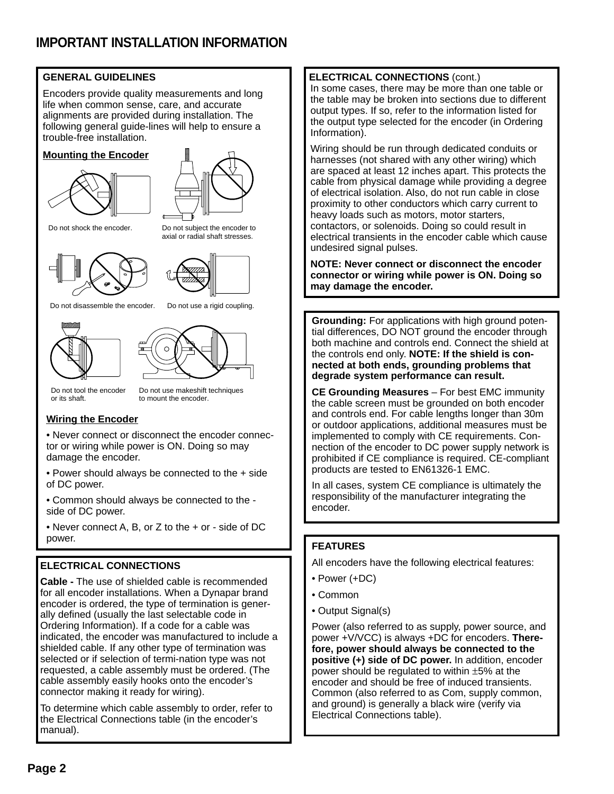#### **GENERAL GUIDELINES**

Encoders provide quality measurements and long life when common sense, care, and accurate alignments are provided during installation. The following general guide-lines will help to ensure a trouble-free installation.

#### **Mounting the Encoder**





Do not shock the encoder. Do not subject the encoder to





axial or radial shaft stresses.

Do not disassemble the encoder. Do not use a rigid coupling.





Do not tool the encoder or its shaft.

Do not use makeshift techniques to mount the encoder.

#### **Wiring the Encoder**

• Never connect or disconnect the encoder connector or wiring while power is ON. Doing so may damage the encoder.

• Power should always be connected to the + side of DC power.

• Common should always be connected to the side of DC power.

• Never connect A, B, or Z to the + or - side of DC power.

#### **ELECTRICAL CONNECTIONS**

**Cable -** The use of shielded cable is recommended for all encoder installations. When a Dynapar brand encoder is ordered, the type of termination is generally defined (usually the last selectable code in Ordering Information). If a code for a cable was indicated, the encoder was manufactured to include a shielded cable. If any other type of termination was selected or if selection of termi-nation type was not requested, a cable assembly must be ordered. (The cable assembly easily hooks onto the encoder's connector making it ready for wiring).

To determine which cable assembly to order, refer to the Electrical Connections table (in the encoder's manual).

#### **ELECTRICAL CONNECTIONS** (cont.)

In some cases, there may be more than one table or the table may be broken into sections due to different output types. If so, refer to the information listed for the output type selected for the encoder (in Ordering Information).

Wiring should be run through dedicated conduits or harnesses (not shared with any other wiring) which are spaced at least 12 inches apart. This protects the cable from physical damage while providing a degree of electrical isolation. Also, do not run cable in close proximity to other conductors which carry current to heavy loads such as motors, motor starters, contactors, or solenoids. Doing so could result in electrical transients in the encoder cable which cause undesired signal pulses.

**NOTE: Never connect or disconnect the encoder connector or wiring while power is ON. Doing so may damage the encoder.**

**Grounding:** For applications with high ground potential differences, DO NOT ground the encoder through both machine and controls end. Connect the shield at the controls end only. **NOTE: If the shield is connected at both ends, grounding problems that degrade system performance can result.**

**CE Grounding Measures** – For best EMC immunity the cable screen must be grounded on both encoder and controls end. For cable lengths longer than 30m or outdoor applications, additional measures must be implemented to comply with CE requirements. Connection of the encoder to DC power supply network is prohibited if CE compliance is required. CE-compliant products are tested to EN61326-1 EMC.

In all cases, system CE compliance is ultimately the responsibility of the manufacturer integrating the encoder.

#### **FEATURES**

All encoders have the following electrical features:

- Power (+DC)
- Common
- Output Signal(s)

Power (also referred to as supply, power source, and power +V/VCC) is always +DC for encoders. **Therefore, power should always be connected to the positive (+) side of DC power.** In addition, encoder power should be regulated to within ±5% at the encoder and should be free of induced transients. Common (also referred to as Com, supply common, and ground) is generally a black wire (verify via Electrical Connections table).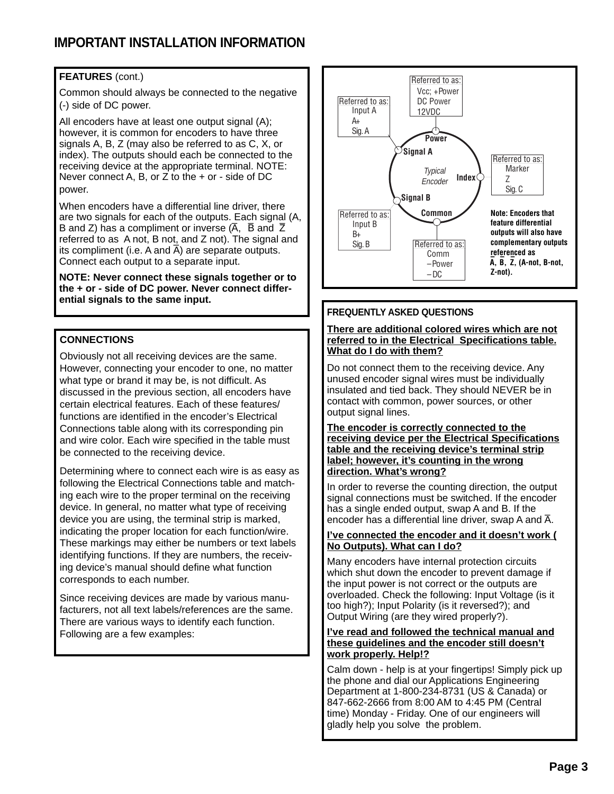# **IMPORTANT INSTALLATION INFORMATION**

#### **FEATURES** (cont.)

Common should always be connected to the negative (-) side of DC power.

All encoders have at least one output signal (A); however, it is common for encoders to have three signals A, B, Z (may also be referred to as C, X, or index). The outputs should each be connected to the receiving device at the appropriate terminal. NOTE: Never connect A, B, or  $Z$  to the  $+$  or - side of DC power.

When encoders have a differential line driver, there are two signals for each of the outputs. Each signal (A, are two signals for each of the outputs. Each signal<br>B and Z) has a compliment or inverse  $(\overline{A}, \overline{B})$  and  $\overline{Z}$ referred to as A not, B not, and Z not). The signal and Fremed to as  $\lambda$  not, b not, and  $\lambda$  not). The signal its compliment (i.e. A and  $\overline{A}$ ) are separate outputs. Connect each output to a separate input.

**NOTE: Never connect these signals together or to the + or - side of DC power. Never connect differential signals to the same input.**

#### **CONNECTIONS**

Obviously not all receiving devices are the same. However, connecting your encoder to one, no matter what type or brand it may be, is not difficult. As discussed in the previous section, all encoders have certain electrical features. Each of these features/ functions are identified in the encoder's Electrical Connections table along with its corresponding pin and wire color. Each wire specified in the table must be connected to the receiving device.

Determining where to connect each wire is as easy as following the Electrical Connections table and matching each wire to the proper terminal on the receiving device. In general, no matter what type of receiving device you are using, the terminal strip is marked, indicating the proper location for each function/wire. These markings may either be numbers or text labels identifying functions. If they are numbers, the receiving device's manual should define what function corresponds to each number.

Since receiving devices are made by various manufacturers, not all text labels/references are the same. There are various ways to identify each function. Following are a few examples:



#### **FREQUENTLY ASKED QUESTIONS**

#### **There are additional colored wires which are not referred to in the Electrical Specifications table. What do I do with them?**

Do not connect them to the receiving device. Any unused encoder signal wires must be individually insulated and tied back. They should NEVER be in contact with common, power sources, or other output signal lines.

#### **The encoder is correctly connected to the receiving device per the Electrical Specifications table and the receiving device's terminal strip label; however, it's counting in the wrong direction. What's wrong?**

In order to reverse the counting direction, the output signal connections must be switched. If the encoder has a single ended output, swap A and B. If the rias a single ended output, swap A and D. if the encoder has a differential line driver, swap A and  $\overline{A}$ .

#### **I've connected the encoder and it doesn't work ( No Outputs). What can I do?**

Many encoders have internal protection circuits which shut down the encoder to prevent damage if the input power is not correct or the outputs are overloaded. Check the following: Input Voltage (is it too high?); Input Polarity (is it reversed?); and Output Wiring (are they wired properly?).

#### **I've read and followed the technical manual and these guidelines and the encoder still doesn't work properly. Help!?**

Calm down - help is at your fingertips! Simply pick up the phone and dial our Applications Engineering Department at 1-800-234-8731 (US & Canada) or 847-662-2666 from 8:00 AM to 4:45 PM (Central time) Monday - Friday. One of our engineers will gladly help you solve the problem.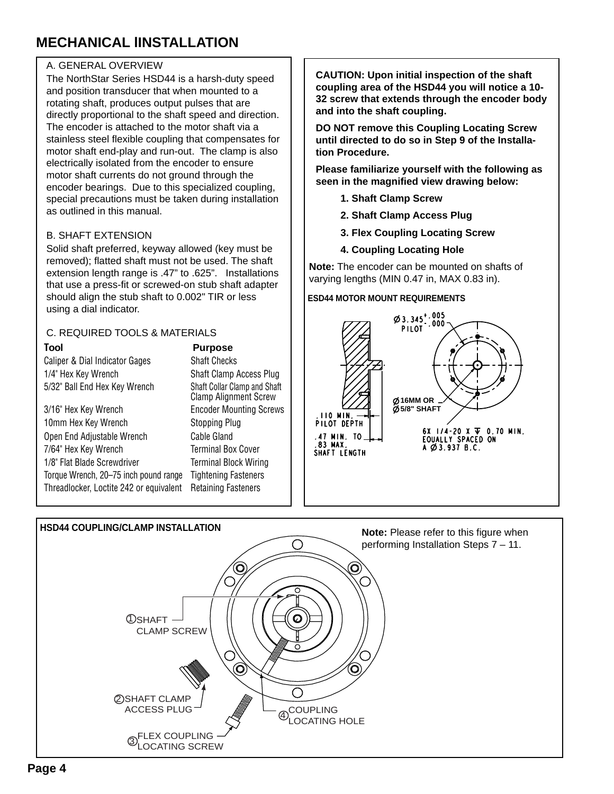# **MECHANICAL lINSTALLATION**

#### A. GENERAL OVERVIEW

The NorthStar Series HSD44 is a harsh-duty speed and position transducer that when mounted to a rotating shaft, produces output pulses that are directly proportional to the shaft speed and direction. The encoder is attached to the motor shaft via a stainless steel flexible coupling that compensates for motor shaft end-play and run-out. The clamp is also electrically isolated from the encoder to ensure motor shaft currents do not ground through the encoder bearings. Due to this specialized coupling, special precautions must be taken during installation as outlined in this manual.

#### B. SHAFT EXTENSION

Solid shaft preferred, keyway allowed (key must be removed); flatted shaft must not be used. The shaft extension length range is .47" to .625". Installations that use a press-fit or screwed-on stub shaft adapter should align the stub shaft to 0.002" TIR or less using a dial indicator.

#### C. REQUIRED TOOLS & MATERIALS

Caliper & Dial Indicator Gages Shaft Checks 1/4" Hex Key Wrench Shaft Clamp Access Plug 5/32" Ball End Hex Key Wrench Shaft Collar Clamp and Shaft

3/16" Hex Key Wrench Encoder Mounting Screws 10mm Hex Key Wrench Stopping Plug Open End Adjustable Wrench Cable Gland 7/64" Hex Key Wrench Terminal Box Cover 1/8" Flat Blade Screwdriver Terminal Block Wiring Torque Wrench, 20–75 inch pound range Tightening Fasteners Threadlocker, Loctite 242 or equivalent Retaining Fasteners

#### **Tool Purpose**

Clamp Alignment Screw

**CAUTION: Upon initial inspection of the shaft coupling area of the HSD44 you will notice a 10- 32 screw that extends through the encoder body and into the shaft coupling.**

**DO NOT remove this Coupling Locating Screw until directed to do so in Step 9 of the Installation Procedure.**

**Please familiarize yourself with the following as seen in the magnified view drawing below:**

- **1. Shaft Clamp Screw**
- **2. Shaft Clamp Access Plug**
- **3. Flex Coupling Locating Screw**
- **4. Coupling Locating Hole**

**Note:** The encoder can be mounted on shafts of varying lengths (MIN 0.47 in, MAX 0.83 in).

#### **ESD44 MOTOR MOUNT REQUIREMENTS**



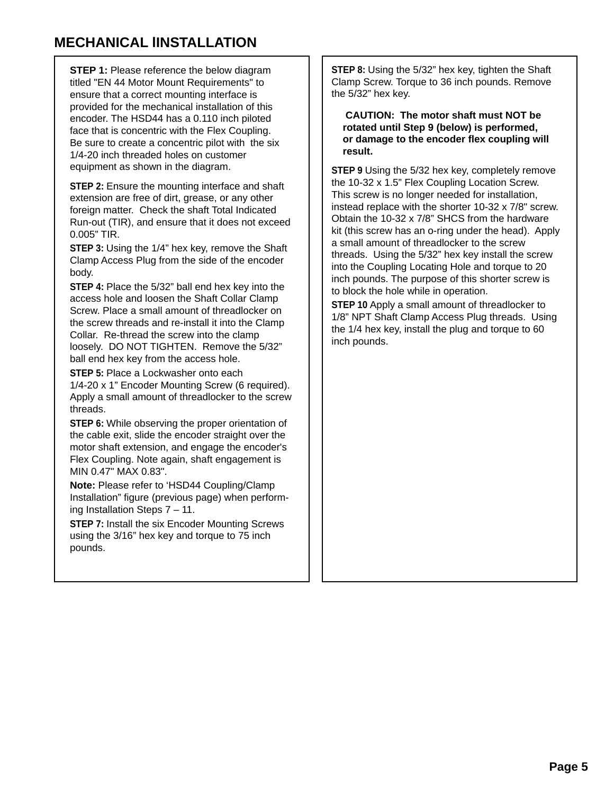# **MECHANICAL lINSTALLATION**

**STEP 1:** Please reference the below diagram titled "EN 44 Motor Mount Requirements" to ensure that a correct mounting interface is provided for the mechanical installation of this encoder. The HSD44 has a 0.110 inch piloted face that is concentric with the Flex Coupling. Be sure to create a concentric pilot with the six 1/4-20 inch threaded holes on customer equipment as shown in the diagram.

**STEP 2:** Ensure the mounting interface and shaft extension are free of dirt, grease, or any other foreign matter. Check the shaft Total Indicated Run-out (TIR), and ensure that it does not exceed 0.005" TIR.

**STEP 3:** Using the 1/4" hex key, remove the Shaft Clamp Access Plug from the side of the encoder body.

**STEP 4:** Place the 5/32" ball end hex key into the access hole and loosen the Shaft Collar Clamp Screw. Place a small amount of threadlocker on the screw threads and re-install it into the Clamp Collar. Re-thread the screw into the clamp loosely. DO NOT TIGHTEN. Remove the 5/32" ball end hex key from the access hole.

**STEP 5: Place a Lockwasher onto each** 1/4-20 x 1" Encoder Mounting Screw (6 required). Apply a small amount of threadlocker to the screw threads.

**STEP 6:** While observing the proper orientation of the cable exit, slide the encoder straight over the motor shaft extension, and engage the encoder's Flex Coupling. Note again, shaft engagement is MIN 0.47" MAX 0.83".

**Note:** Please refer to 'HSD44 Coupling/Clamp Installation" figure (previous page) when performing Installation Steps 7 – 11.

**STEP 7:** Install the six Encoder Mounting Screws using the 3/16" hex key and torque to 75 inch pounds.

**STEP 8:** Using the 5/32" hex key, tighten the Shaft Clamp Screw. Torque to 36 inch pounds. Remove the 5/32" hex key.

 **CAUTION: The motor shaft must NOT be rotated until Step 9 (below) is performed, or damage to the encoder flex coupling will result.**

**STEP 9** Using the 5/32 hex key, completely remove the 10-32 x 1.5" Flex Coupling Location Screw. This screw is no longer needed for installation, instead replace with the shorter 10-32 x 7/8" screw. Obtain the 10-32 x 7/8" SHCS from the hardware kit (this screw has an o-ring under the head). Apply a small amount of threadlocker to the screw threads. Using the 5/32" hex key install the screw into the Coupling Locating Hole and torque to 20 inch pounds. The purpose of this shorter screw is to block the hole while in operation.

**STEP 10** Apply a small amount of threadlocker to 1/8" NPT Shaft Clamp Access Plug threads. Using the 1/4 hex key, install the plug and torque to 60 inch pounds.